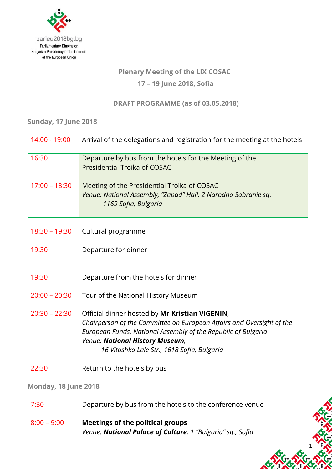

# **Plenary Meeting of the LIX COSAC 17 – 19 June 2018, Sofia**

**DRAFT PROGRAMME (as of 03.05.2018)**

## **Sunday, 17 June 2018**

| 14:00 - 19:00   | Arrival of the delegations and registration for the meeting at the hotels                                                                                                                                                                                                  |
|-----------------|----------------------------------------------------------------------------------------------------------------------------------------------------------------------------------------------------------------------------------------------------------------------------|
| 16:30           | Departure by bus from the hotels for the Meeting of the<br><b>Presidential Troika of COSAC</b>                                                                                                                                                                             |
| $17:00 - 18:30$ | Meeting of the Presidential Troika of COSAC<br>Venue: National Assembly, "Zapad" Hall, 2 Narodno Sabranie sq.<br>1169 Sofia, Bulgaria                                                                                                                                      |
| $18:30 - 19:30$ | Cultural programme                                                                                                                                                                                                                                                         |
| 19:30           | Departure for dinner                                                                                                                                                                                                                                                       |
| 19:30           | Departure from the hotels for dinner                                                                                                                                                                                                                                       |
| $20:00 - 20:30$ | Tour of the National History Museum                                                                                                                                                                                                                                        |
| $20:30 - 22:30$ | Official dinner hosted by Mr Kristian VIGENIN,<br>Chairperson of the Committee on European Affairs and Oversight of the<br>European Funds, National Assembly of the Republic of Bulgaria<br>Venue: National History Museum,<br>16 Vitoshko Lale Str., 1618 Sofia, Bulgaria |
| 22:30           | Return to the hotels by bus                                                                                                                                                                                                                                                |

## **Monday, 18 June 2018**

7:30 Departure by bus from the hotels to the conference venue

1

8:00 – 9:00 **Meetings of the political groups** *Venue: National Palace of Culture, 1 "Bulgaria" sq., Sofia*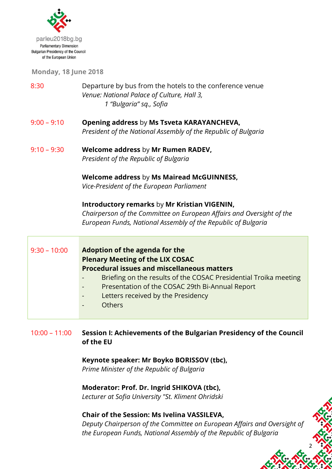

**Monday, 18 June 2018**

- 8:30 Departure by bus from the hotels to the conference venue *Venue: National Palace of Culture, Hall 3, 1 "Bulgaria" sq., Sofia*
- 9:00 9:10 **Opening address** by **Ms Tsveta KARAYANCHEVA,** *President of the National Assembly of the Republic of Bulgaria*
- 9:10 9:30 **Welcome address** by **Mr Rumen RADEV,** *President of the Republic of Bulgaria*

#### **Welcome address** by **Ms Mairead McGUINNESS,** *Vice-President of the European Parliament*

#### **Introductory remarks** by **Mr Kristian VIGENIN,**

*Chairperson of the Committee on European Affairs and Oversight of the European Funds, National Assembly of the Republic of Bulgaria*

| $9:30 - 10:00$ | Adoption of the agenda for the<br><b>Plenary Meeting of the LIX COSAC</b>                    |
|----------------|----------------------------------------------------------------------------------------------|
|                | <b>Procedural issues and miscellaneous matters</b>                                           |
|                | Briefing on the results of the COSAC Presidential Troika meeting<br>$\overline{\phantom{a}}$ |
|                | Presentation of the COSAC 29th Bi-Annual Report<br>$\blacksquare$                            |
|                | Letters received by the Presidency<br>$\overline{\phantom{a}}$                               |
|                | <b>Others</b><br>$\blacksquare$                                                              |
|                |                                                                                              |

## 10:00 – 11:00 **Session I: Achievements of the Bulgarian Presidency of the Council of the EU**

**Keynote speaker: Mr Boyko BORISSOV (tbc),**

*Prime Minister of the Republic of Bulgaria*

#### **Moderator: Prof. Dr. Ingrid SHIKOVA (tbc),**

*Lecturer at Sofia University "St. Kliment Ohridski*

## **Chair of the Session: Ms Ivelina VASSILEVA,**

*Deputy Chairperson of the Committee on European Affairs and Oversight of the European Funds, National Assembly of the Republic of Bulgaria*

2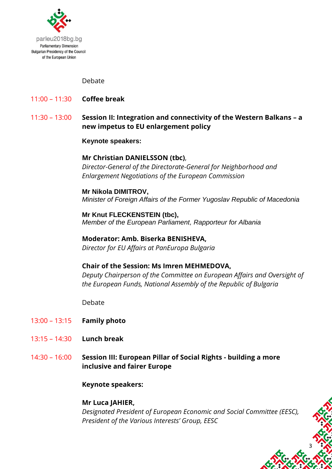

#### Debate

- 11:00 11:30 **Coffee break**
- 11:30 13:00 **Session II: Integration and connectivity of the Western Balkans – a new impetus to EU enlargement policy**

#### **Keynote speakers:**

#### **Mr Christian DANIELSSON (tbc)**,

*Director-General of the Directorate-General for Neighborhood and Enlargement Negotiations of the European Commission*

#### **Mr Nikola DIMITROV,**

*Minister of Foreign Affairs of the Former Yugoslav Republic of Macedonia*

**Mr Knut FLECKENSTEIN (tbc),** *Member of the European Parliament, Rapporteur for Albania*

#### **Moderator: Amb. Biserka BENISHEVA,**

*Director for EU Affairs at PanEuropa Bulgaria*

#### **Chair of the Session: Ms Imren MEHMEDOVA,**

*Deputy Chairperson of the Committee on European Affairs and Oversight of the European Funds, National Assembly of the Republic of Bulgaria*

Debate

- 13:00 13:15 **Family photo**
- 13:15 14:30 **Lunch break**
- 14:30 16:00 **Session III: European Pillar of Social Rights - building a more inclusive and fairer Europe**

#### **Keynote speakers:**

#### **Mr Luca JAHIER,**

*Designated President of European Economic and Social Committee (EESC), President of the Various Interests' Group, EESC*

3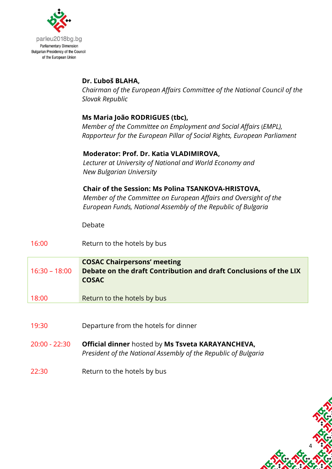

## **Dr. Ľuboš BLAHA,**

*Chairman of the European Affairs Committee of the National Council of the Slovak Republic*

## **Ms Maria João RODRIGUES (tbc),**

*Member of the Committee on Employment and Social Affairs* (*EMPL), Rapporteur for the European Pillar of Social Rights, European Parliament*

## **Moderator: Prof. Dr. Katia VLADIMIROVA,**

*1. Lecturer at University of National and World Economy and 2. New Bulgarian University*

## **4. Chair of the Session: Ms Polina TSANKOVA-HRISTOVA,**

**5.** *Member of the Committee on European Affairs and Oversight of the European Funds, National Assembly of the Republic of Bulgaria*

4

Debate

16:00 Return to the hotels by bus

- **COSAC Chairpersons' meeting** 16:30 – 18:00 **Debate on the draft Contribution and draft Conclusions of the LIX COSAC**
- 18:00 Return to the hotels by bus
- 19:30 Departure from the hotels for dinner
- 20:00 22:30 **Official dinner** hosted by **Ms Tsveta KARAYANCHEVA,** *President of the National Assembly of the Republic of Bulgaria*
- 22:30 Return to the hotels by bus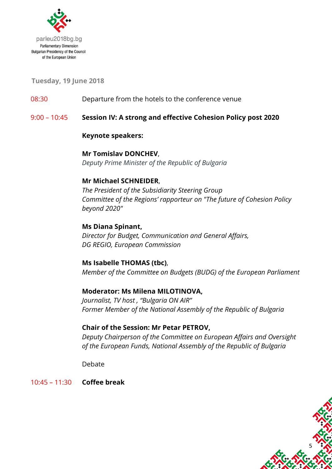

**Tuesday, 19 June 2018**

08:30 Departure from the hotels to the conference venue

9:00 – 10:45 **Session IV: А strong and effective Cohesion Policy post 2020**

#### **Keynote speakers:**

## **Mr Tomislav DONCHEV**,

*Deputy Prime Minister of the Republic of Bulgaria*

## **Mr Michael SCHNEIDER**,

*The President of the Subsidiarity Steering Group Committee of the Regions' rapporteur on "The future of Cohesion Policy beyond 2020"*

## **Ms Diana Spinant,**

*Director for Budget, Communication and General Affairs, DG REGIO, European Commission*

## **Ms Isabelle THOMAS (tbc)**,

*Member of the Committee on Budgets (BUDG) of the European Parliament*

## **Moderator: Ms Milena MILOTINOVA,**

*Journalist, TV host , "Bulgaria ON AIR" Former Member of the National Assembly of the Republic of Bulgaria*

#### **Chair of the Session: Mr Petar PETROV,**

*Deputy Chairperson of the Committee on European Affairs and Oversight of the European Funds, National Assembly of the Republic of Bulgaria*

5

Debate

10:45 – 11:30 **Coffee break**